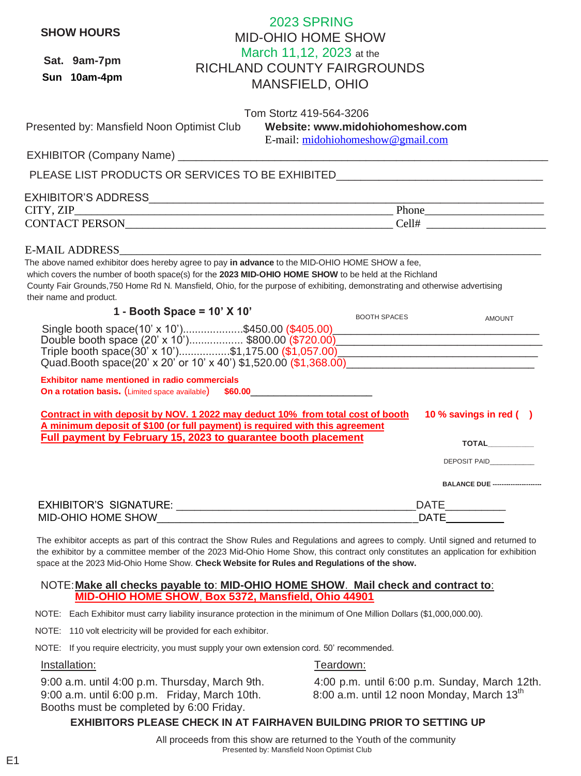| <b>SHOW HOURS</b>                             | 2023 SPRING<br><b>MID-OHIO HOME SHOW</b>                                                                                                                                                                                                                                                                                              |                                           |
|-----------------------------------------------|---------------------------------------------------------------------------------------------------------------------------------------------------------------------------------------------------------------------------------------------------------------------------------------------------------------------------------------|-------------------------------------------|
|                                               | March 11,12, 2023 at the                                                                                                                                                                                                                                                                                                              |                                           |
| Sat. 9am-7pm                                  | <b>RICHLAND COUNTY FAIRGROUNDS</b>                                                                                                                                                                                                                                                                                                    |                                           |
| Sun 10am-4pm                                  | <b>MANSFIELD, OHIO</b>                                                                                                                                                                                                                                                                                                                |                                           |
|                                               |                                                                                                                                                                                                                                                                                                                                       |                                           |
|                                               | Tom Stortz 419-564-3206                                                                                                                                                                                                                                                                                                               |                                           |
| Presented by: Mansfield Noon Optimist Club    | Website: www.midohiohomeshow.com<br>E-mail: midohiohomeshow@gmail.com                                                                                                                                                                                                                                                                 |                                           |
|                                               |                                                                                                                                                                                                                                                                                                                                       |                                           |
|                                               | PLEASE LIST PRODUCTS OR SERVICES TO BE EXHIBITED________________________________                                                                                                                                                                                                                                                      |                                           |
|                                               |                                                                                                                                                                                                                                                                                                                                       |                                           |
|                                               |                                                                                                                                                                                                                                                                                                                                       |                                           |
|                                               |                                                                                                                                                                                                                                                                                                                                       |                                           |
| E-MAIL ADDRESS___                             |                                                                                                                                                                                                                                                                                                                                       |                                           |
| their name and product.                       | The above named exhibitor does hereby agree to pay in advance to the MID-OHIO HOME SHOW a fee,<br>which covers the number of booth space(s) for the 2023 MID-OHIO HOME SHOW to be held at the Richland<br>County Fair Grounds, 750 Home Rd N. Mansfield, Ohio, for the purpose of exhibiting, demonstrating and otherwise advertising |                                           |
|                                               | 1 - Booth Space = $10'$ X $10'$<br><b>BOOTH SPACES</b>                                                                                                                                                                                                                                                                                | <b>AMOUNT</b>                             |
|                                               | Single booth space(10' x 10')\$450.00 (\$405.00)<br>Double booth space (20' x 10')\$800.00 (\$720.00)<br>Quad Booth space(20' x 20' or 10' x 40') \$1,520.00 (\$1,368.00)                                                                                                                                                             |                                           |
| Exhibitor name mentioned in radio commercials | On a rotation basis. (Limited space available) \$60.00___________________________                                                                                                                                                                                                                                                     |                                           |
|                                               | Contract in with deposit by NOV. 1 2022 may deduct 10% from total cost of booth<br>A minimum deposit of \$100 (or full payment) is required with this agreement                                                                                                                                                                       | 10 % savings in red ()                    |
|                                               | Full payment by February 15, 2023 to guarantee booth placement                                                                                                                                                                                                                                                                        | <b>TOTAL</b>                              |
|                                               |                                                                                                                                                                                                                                                                                                                                       | DEPOSIT PAID__________                    |
|                                               |                                                                                                                                                                                                                                                                                                                                       | <b>BALANCE DUE ----------------------</b> |
|                                               |                                                                                                                                                                                                                                                                                                                                       |                                           |
|                                               |                                                                                                                                                                                                                                                                                                                                       | _DATE_____________<br>_DATE_____________  |
|                                               | The exhibitor accepts as part of this contract the Show Rules and Regulations and agrees to comply. Until signed and returned to<br>the exhibitor by a committee member of the 2023 Mid-Ohio Home Show, this contract only constitutes an application for exhibition                                                                  |                                           |

space at the 2023 Mid-Ohio Home Show. **Check Website for Rules and Regulations of the show.**

### **MID-OHIO HOME SHOW**, **Box 5372, Mansfield, Ohio 44901** NOTE:**Make all checks payable to**: **MID-OHIO HOME SHOW**. **Mail check and contract to**:

NOTE: Each Exhibitor must carry liability insurance protection in the minimum of One Million Dollars (\$1,000,000.00).

NOTE: 110 volt electricity will be provided for each exhibitor.

NOTE: If you require electricity, you must supply your own extension cord. 50' recommended.

## Installation: The Contract of Teardown:

9:00 a.m. until 6:00 p.m. Friday, March 10th.  $\qquad 8.00$  a.m. until 12 noon Monday, March 13<sup>th</sup> Booths must be completed by 6:00 Friday.

9:00 a.m. until 4:00 p.m. Thursday, March 9th. 4:00 p.m. until 6:00 p.m. Sunday, March 12th.

# **EXHIBITORS PLEASE CHECK IN AT FAIRHAVEN BUILDING PRIOR TO SETTING UP**

 All proceeds from this show are returned to the Youth of the community Presented by: Mansfield Noon Optimist Club